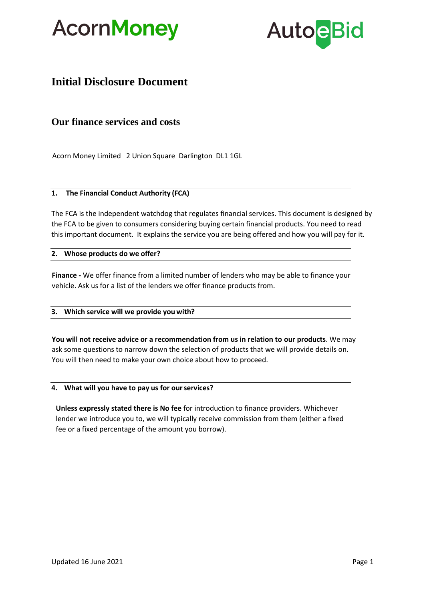



# **Initial Disclosure Document**

# **Our finance services and costs**

Acorn Money Limited 2 Union Square Darlington DL1 1GL

#### **1. The Financial Conduct Authority (FCA)**

The FCA is the independent watchdog that regulates financial services. This document is designed by the FCA to be given to consumers considering buying certain financial products. You need to read this important document. It explains the service you are being offered and how you will pay for it.

# **2. Whose products do we offer?**

**Finance -** We offer finance from a limited number of lenders who may be able to finance your vehicle. Ask us for a list of the lenders we offer finance products from.

# **3. Which service will we provide you with?**

**You will not receive advice or a recommendation from us in relation to our products**. We may ask some questions to narrow down the selection of products that we will provide details on. You will then need to make your own choice about how to proceed.

# **4. What will you have to pay us for ourservices?**

**Unless expressly stated there is No fee** for introduction to finance providers. Whichever lender we introduce you to, we will typically receive commission from them (either a fixed fee or a fixed percentage of the amount you borrow).